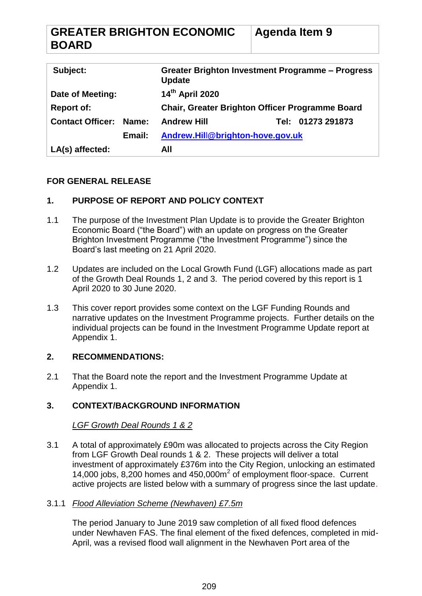| <b>GREATER BRIGHTON ECONOMIC</b> | Agenda Item 9 |
|----------------------------------|---------------|
| <b>BOARD</b>                     |               |

| Subject:                |        | Greater Brighton Investment Programme – Progress<br><b>Update</b> |  |                   |
|-------------------------|--------|-------------------------------------------------------------------|--|-------------------|
| Date of Meeting:        |        | 14 <sup>th</sup> April 2020                                       |  |                   |
| <b>Report of:</b>       |        | <b>Chair, Greater Brighton Officer Programme Board</b>            |  |                   |
| <b>Contact Officer:</b> | Name:  | <b>Andrew Hill</b>                                                |  | Tel: 01273 291873 |
|                         | Email: | Andrew.Hill@brighton-hove.gov.uk                                  |  |                   |
| LA(s) affected:         |        | All                                                               |  |                   |

# **FOR GENERAL RELEASE**

### **1. PURPOSE OF REPORT AND POLICY CONTEXT**

- 1.1 The purpose of the Investment Plan Update is to provide the Greater Brighton Economic Board ("the Board") with an update on progress on the Greater Brighton Investment Programme ("the Investment Programme") since the Board's last meeting on 21 April 2020.
- 1.2 Updates are included on the Local Growth Fund (LGF) allocations made as part of the Growth Deal Rounds 1, 2 and 3. The period covered by this report is 1 April 2020 to 30 June 2020.
- 1.3 This cover report provides some context on the LGF Funding Rounds and narrative updates on the Investment Programme projects. Further details on the individual projects can be found in the Investment Programme Update report at Appendix 1.

### **2. RECOMMENDATIONS:**

2.1 That the Board note the report and the Investment Programme Update at Appendix 1.

# **3. CONTEXT/BACKGROUND INFORMATION**

### *LGF Growth Deal Rounds 1 & 2*

3.1 A total of approximately £90m was allocated to projects across the City Region from LGF Growth Deal rounds 1 & 2. These projects will deliver a total investment of approximately £376m into the City Region, unlocking an estimated 14,000 jobs, 8,200 homes and  $450,000m^2$  of employment floor-space. Current active projects are listed below with a summary of progress since the last update.

### 3.1.1 *Flood Alleviation Scheme (Newhaven) £7.5m*

The period January to June 2019 saw completion of all fixed flood defences under Newhaven FAS. The final element of the fixed defences, completed in mid-April, was a revised flood wall alignment in the Newhaven Port area of the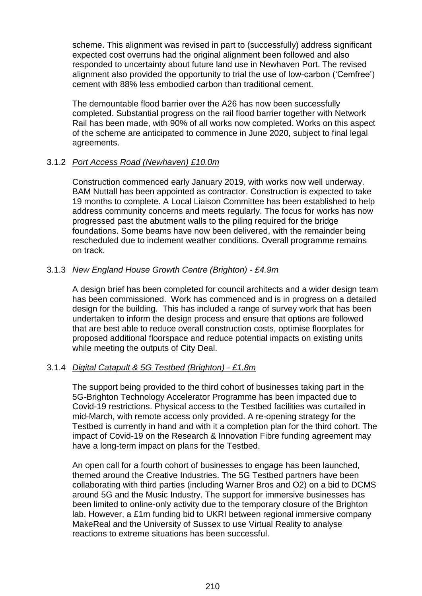scheme. This alignment was revised in part to (successfully) address significant expected cost overruns had the original alignment been followed and also responded to uncertainty about future land use in Newhaven Port. The revised alignment also provided the opportunity to trial the use of low-carbon ('Cemfree') cement with 88% less embodied carbon than traditional cement.

The demountable flood barrier over the A26 has now been successfully completed. Substantial progress on the rail flood barrier together with Network Rail has been made, with 90% of all works now completed. Works on this aspect of the scheme are anticipated to commence in June 2020, subject to final legal agreements.

### 3.1.2 *Port Access Road (Newhaven) £10.0m*

Construction commenced early January 2019, with works now well underway. BAM Nuttall has been appointed as contractor. Construction is expected to take 19 months to complete. A Local Liaison Committee has been established to help address community concerns and meets regularly. The focus for works has now progressed past the abutment walls to the piling required for the bridge foundations. Some beams have now been delivered, with the remainder being rescheduled due to inclement weather conditions. Overall programme remains on track.

### 3.1.3 *New England House Growth Centre (Brighton) - £4.9m*

A design brief has been completed for council architects and a wider design team has been commissioned. Work has commenced and is in progress on a detailed design for the building. This has included a range of survey work that has been undertaken to inform the design process and ensure that options are followed that are best able to reduce overall construction costs, optimise floorplates for proposed additional floorspace and reduce potential impacts on existing units while meeting the outputs of City Deal.

### 3.1.4 *Digital Catapult & 5G Testbed (Brighton) - £1.8m*

The support being provided to the third cohort of businesses taking part in the 5G-Brighton Technology Accelerator Programme has been impacted due to Covid-19 restrictions. Physical access to the Testbed facilities was curtailed in mid-March, with remote access only provided. A re-opening strategy for the Testbed is currently in hand and with it a completion plan for the third cohort. The impact of Covid-19 on the Research & Innovation Fibre funding agreement may have a long-term impact on plans for the Testbed.

An open call for a fourth cohort of businesses to engage has been launched, themed around the Creative Industries. The 5G Testbed partners have been collaborating with third parties (including Warner Bros and O2) on a bid to DCMS around 5G and the Music Industry. The support for immersive businesses has been limited to online-only activity due to the temporary closure of the Brighton lab. However, a £1m funding bid to UKRI between regional immersive company MakeReal and the University of Sussex to use Virtual Reality to analyse reactions to extreme situations has been successful.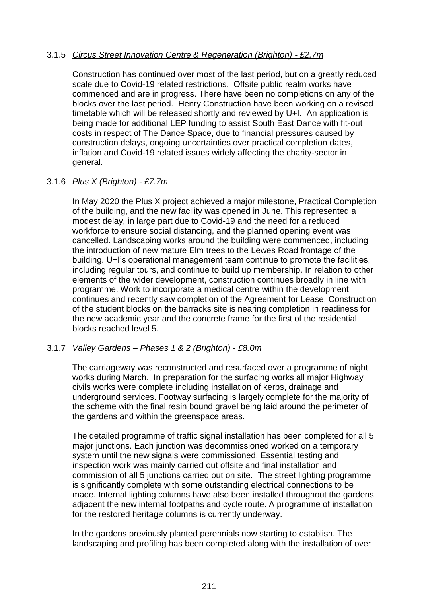### 3.1.5 *Circus Street Innovation Centre & Regeneration (Brighton) - £2.7m*

Construction has continued over most of the last period, but on a greatly reduced scale due to Covid-19 related restrictions. Offsite public realm works have commenced and are in progress. There have been no completions on any of the blocks over the last period. Henry Construction have been working on a revised timetable which will be released shortly and reviewed by U+I. An application is being made for additional LEP funding to assist South East Dance with fit-out costs in respect of The Dance Space, due to financial pressures caused by construction delays, ongoing uncertainties over practical completion dates, inflation and Covid-19 related issues widely affecting the charity-sector in general.

### 3.1.6 *Plus X (Brighton) - £7.7m*

In May 2020 the Plus X project achieved a major milestone, Practical Completion of the building, and the new facility was opened in June. This represented a modest delay, in large part due to Covid-19 and the need for a reduced workforce to ensure social distancing, and the planned opening event was cancelled. Landscaping works around the building were commenced, including the introduction of new mature Elm trees to the Lewes Road frontage of the building. U+I's operational management team continue to promote the facilities, including regular tours, and continue to build up membership. In relation to other elements of the wider development, construction continues broadly in line with programme. Work to incorporate a medical centre within the development continues and recently saw completion of the Agreement for Lease. Construction of the student blocks on the barracks site is nearing completion in readiness for the new academic year and the concrete frame for the first of the residential blocks reached level 5.

### 3.1.7 *Valley Gardens – Phases 1 & 2 (Brighton) - £8.0m*

The carriageway was reconstructed and resurfaced over a programme of night works during March. In preparation for the surfacing works all major Highway civils works were complete including installation of kerbs, drainage and underground services. Footway surfacing is largely complete for the majority of the scheme with the final resin bound gravel being laid around the perimeter of the gardens and within the greenspace areas.

The detailed programme of traffic signal installation has been completed for all 5 major junctions. Each junction was decommissioned worked on a temporary system until the new signals were commissioned. Essential testing and inspection work was mainly carried out offsite and final installation and commission of all 5 junctions carried out on site. The street lighting programme is significantly complete with some outstanding electrical connections to be made. Internal lighting columns have also been installed throughout the gardens adjacent the new internal footpaths and cycle route. A programme of installation for the restored heritage columns is currently underway.

In the gardens previously planted perennials now starting to establish. The landscaping and profiling has been completed along with the installation of over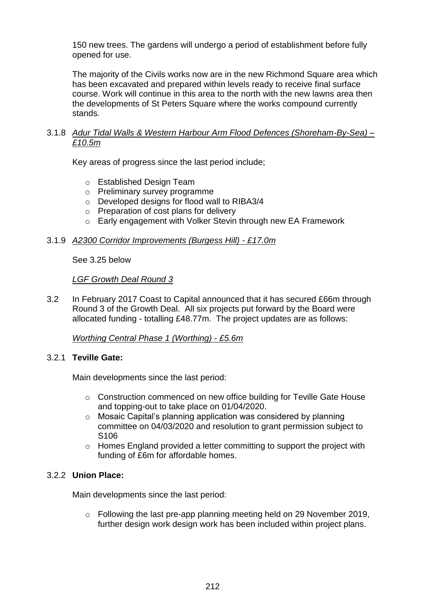150 new trees. The gardens will undergo a period of establishment before fully opened for use.

The majority of the Civils works now are in the new Richmond Square area which has been excavated and prepared within levels ready to receive final surface course. Work will continue in this area to the north with the new lawns area then the developments of St Peters Square where the works compound currently stands.

### 3.1.8 *Adur Tidal Walls & Western Harbour Arm Flood Defences (Shoreham-By-Sea) – £10.5m*

Key areas of progress since the last period include;

- o Established Design Team
- o Preliminary survey programme
- o Developed designs for flood wall to RIBA3/4
- o Preparation of cost plans for delivery
- o Early engagement with Volker Stevin through new EA Framework

### 3.1.9 *A2300 Corridor Improvements (Burgess Hill) - £17.0m*

See 3.25 below

### *LGF Growth Deal Round 3*

3.2 In February 2017 Coast to Capital announced that it has secured £66m through Round 3 of the Growth Deal. All six projects put forward by the Board were allocated funding - totalling £48.77m. The project updates are as follows:

# *Worthing Central Phase 1 (Worthing) - £5.6m*

### 3.2.1 **Teville Gate:**

Main developments since the last period:

- o Construction commenced on new office building for Teville Gate House and topping-out to take place on 01/04/2020.
- o Mosaic Capital's planning application was considered by planning committee on 04/03/2020 and resolution to grant permission subject to S106
- o Homes England provided a letter committing to support the project with funding of £6m for affordable homes.

### 3.2.2 **Union Place:**

Main developments since the last period:

o Following the last pre-app planning meeting held on 29 November 2019, further design work design work has been included within project plans.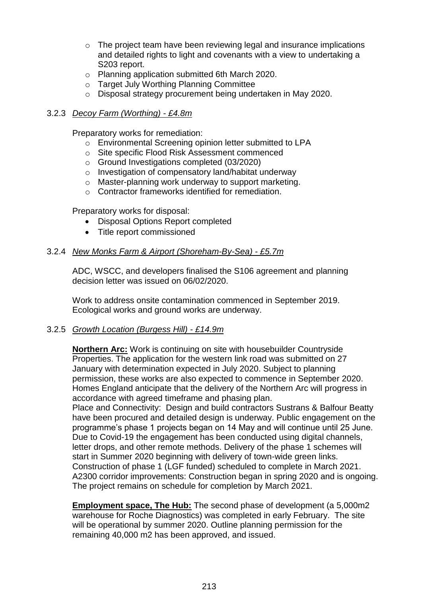- o The project team have been reviewing legal and insurance implications and detailed rights to light and covenants with a view to undertaking a S203 report.
- o Planning application submitted 6th March 2020.
- o Target July Worthing Planning Committee
- o Disposal strategy procurement being undertaken in May 2020.

### 3.2.3 *Decoy Farm (Worthing) - £4.8m*

Preparatory works for remediation:

- o Environmental Screening opinion letter submitted to LPA
- o Site specific Flood Risk Assessment commenced
- o Ground Investigations completed (03/2020)
- o Investigation of compensatory land/habitat underway
- o Master-planning work underway to support marketing.
- o Contractor frameworks identified for remediation.

Preparatory works for disposal:

- Disposal Options Report completed
- Title report commissioned

### 3.2.4 *New Monks Farm & Airport (Shoreham-By-Sea) - £5.7m*

ADC, WSCC, and developers finalised the S106 agreement and planning decision letter was issued on 06/02/2020.

Work to address onsite contamination commenced in September 2019. Ecological works and ground works are underway.

#### 3.2.5 *Growth Location (Burgess Hill) - £14.9m*

**Northern Arc:** Work is continuing on site with housebuilder Countryside Properties. The application for the western link road was submitted on 27 January with determination expected in July 2020. Subject to planning permission, these works are also expected to commence in September 2020. Homes England anticipate that the delivery of the Northern Arc will progress in accordance with agreed timeframe and phasing plan.

Place and Connectivity: Design and build contractors Sustrans & Balfour Beatty have been procured and detailed design is underway. Public engagement on the programme's phase 1 projects began on 14 May and will continue until 25 June. Due to Covid-19 the engagement has been conducted using digital channels, letter drops, and other remote methods. Delivery of the phase 1 schemes will start in Summer 2020 beginning with delivery of town-wide green links. Construction of phase 1 (LGF funded) scheduled to complete in March 2021. A2300 corridor improvements: Construction began in spring 2020 and is ongoing. The project remains on schedule for completion by March 2021.

**Employment space, The Hub:** The second phase of development (a 5,000m2 warehouse for Roche Diagnostics) was completed in early February. The site will be operational by summer 2020. Outline planning permission for the remaining 40,000 m2 has been approved, and issued.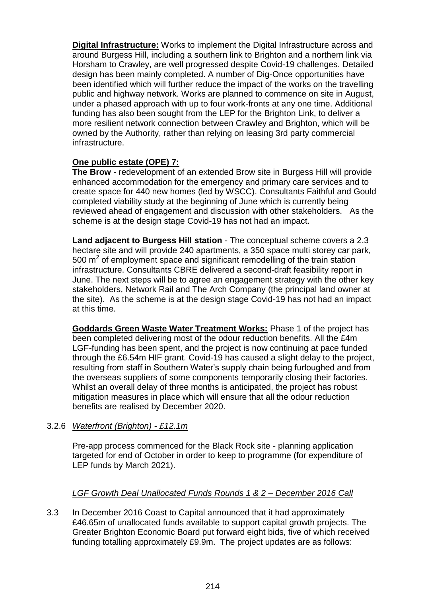**Digital Infrastructure:** Works to implement the Digital Infrastructure across and around Burgess Hill, including a southern link to Brighton and a northern link via Horsham to Crawley, are well progressed despite Covid-19 challenges. Detailed design has been mainly completed. A number of Dig-Once opportunities have been identified which will further reduce the impact of the works on the travelling public and highway network. Works are planned to commence on site in August, under a phased approach with up to four work-fronts at any one time. Additional funding has also been sought from the LEP for the Brighton Link, to deliver a more resilient network connection between Crawley and Brighton, which will be owned by the Authority, rather than relying on leasing 3rd party commercial infrastructure.

### **One public estate (OPE) 7:**

**The Brow** - redevelopment of an extended Brow site in Burgess Hill will provide enhanced accommodation for the emergency and primary care services and to create space for 440 new homes (led by WSCC). Consultants Faithful and Gould completed viability study at the beginning of June which is currently being reviewed ahead of engagement and discussion with other stakeholders. As the scheme is at the design stage Covid-19 has not had an impact.

**Land adjacent to Burgess Hill station** - The conceptual scheme covers a 2.3 hectare site and will provide 240 apartments, a 350 space multi storey car park, 500  $\text{m}^2$  of employment space and significant remodelling of the train station infrastructure. Consultants CBRE delivered a second-draft feasibility report in June. The next steps will be to agree an engagement strategy with the other key stakeholders, Network Rail and The Arch Company (the principal land owner at the site). As the scheme is at the design stage Covid-19 has not had an impact at this time.

**Goddards Green Waste Water Treatment Works:** Phase 1 of the project has been completed delivering most of the odour reduction benefits. All the £4m LGF-funding has been spent, and the project is now continuing at pace funded through the £6.54m HIF grant. Covid-19 has caused a slight delay to the project, resulting from staff in Southern Water's supply chain being furloughed and from the overseas suppliers of some components temporarily closing their factories. Whilst an overall delay of three months is anticipated, the project has robust mitigation measures in place which will ensure that all the odour reduction benefits are realised by December 2020.

# 3.2.6 *Waterfront (Brighton) - £12.1m*

Pre-app process commenced for the Black Rock site - planning application targeted for end of October in order to keep to programme (for expenditure of LEP funds by March 2021).

# *LGF Growth Deal Unallocated Funds Rounds 1 & 2 – December 2016 Call*

3.3 In December 2016 Coast to Capital announced that it had approximately £46.65m of unallocated funds available to support capital growth projects. The Greater Brighton Economic Board put forward eight bids, five of which received funding totalling approximately £9.9m. The project updates are as follows: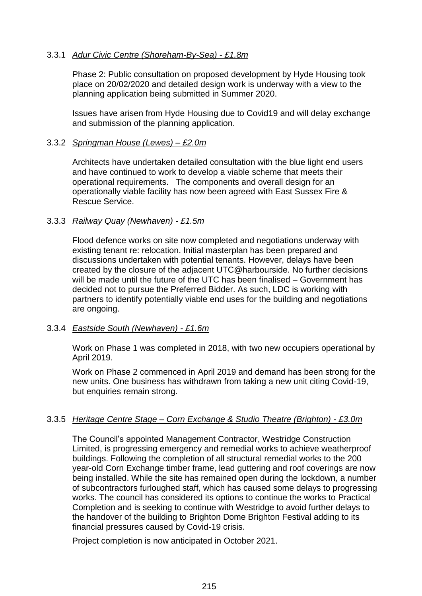### 3.3.1 *Adur Civic Centre (Shoreham-By-Sea) - £1.8m*

Phase 2: Public consultation on proposed development by Hyde Housing took place on 20/02/2020 and detailed design work is underway with a view to the planning application being submitted in Summer 2020.

Issues have arisen from Hyde Housing due to Covid19 and will delay exchange and submission of the planning application.

### 3.3.2 *Springman House (Lewes) – £2.0m*

Architects have undertaken detailed consultation with the blue light end users and have continued to work to develop a viable scheme that meets their operational requirements. The components and overall design for an operationally viable facility has now been agreed with East Sussex Fire & Rescue Service.

### 3.3.3 *Railway Quay (Newhaven) - £1.5m*

Flood defence works on site now completed and negotiations underway with existing tenant re: relocation. Initial masterplan has been prepared and discussions undertaken with potential tenants. However, delays have been created by the closure of the adjacent UTC@harbourside. No further decisions will be made until the future of the UTC has been finalised – Government has decided not to pursue the Preferred Bidder. As such, LDC is working with partners to identify potentially viable end uses for the building and negotiations are ongoing.

### 3.3.4 *Eastside South (Newhaven) - £1.6m*

Work on Phase 1 was completed in 2018, with two new occupiers operational by April 2019.

Work on Phase 2 commenced in April 2019 and demand has been strong for the new units. One business has withdrawn from taking a new unit citing Covid-19, but enquiries remain strong.

# 3.3.5 *Heritage Centre Stage – Corn Exchange & Studio Theatre (Brighton) - £3.0m*

The Council's appointed Management Contractor, Westridge Construction Limited, is progressing emergency and remedial works to achieve weatherproof buildings. Following the completion of all structural remedial works to the 200 year-old Corn Exchange timber frame, lead guttering and roof coverings are now being installed. While the site has remained open during the lockdown, a number of subcontractors furloughed staff, which has caused some delays to progressing works. The council has considered its options to continue the works to Practical Completion and is seeking to continue with Westridge to avoid further delays to the handover of the building to Brighton Dome Brighton Festival adding to its financial pressures caused by Covid-19 crisis.

Project completion is now anticipated in October 2021.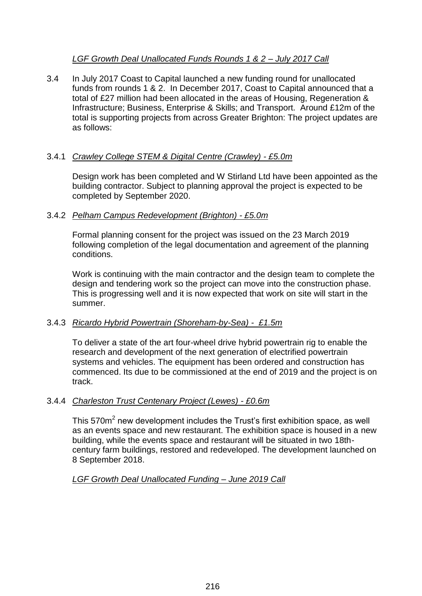# *LGF Growth Deal Unallocated Funds Rounds 1 & 2 – July 2017 Call*

3.4 In July 2017 Coast to Capital launched a new funding round for unallocated funds from rounds 1 & 2. In December 2017, Coast to Capital announced that a total of £27 million had been allocated in the areas of Housing, Regeneration & Infrastructure; Business, Enterprise & Skills; and Transport. Around £12m of the total is supporting projects from across Greater Brighton: The project updates are as follows:

# 3.4.1 *Crawley College STEM & Digital Centre (Crawley) - £5.0m*

Design work has been completed and W Stirland Ltd have been appointed as the building contractor. Subject to planning approval the project is expected to be completed by September 2020.

# 3.4.2 *Pelham Campus Redevelopment (Brighton) - £5.0m*

Formal planning consent for the project was issued on the 23 March 2019 following completion of the legal documentation and agreement of the planning conditions.

Work is continuing with the main contractor and the design team to complete the design and tendering work so the project can move into the construction phase. This is progressing well and it is now expected that work on site will start in the summer.

# 3.4.3 *Ricardo Hybrid Powertrain (Shoreham-by-Sea) - £1.5m*

To deliver a state of the art four-wheel drive hybrid powertrain rig to enable the research and development of the next generation of electrified powertrain systems and vehicles. The equipment has been ordered and construction has commenced. Its due to be commissioned at the end of 2019 and the project is on track.

# 3.4.4 *Charleston Trust Centenary Project (Lewes) - £0.6m*

This 570m<sup>2</sup> new development includes the Trust's first exhibition space, as well as an events space and new restaurant. The exhibition space is housed in a new building, while the events space and restaurant will be situated in two 18thcentury farm buildings, restored and redeveloped. The development launched on 8 September 2018.

# *LGF Growth Deal Unallocated Funding – June 2019 Call*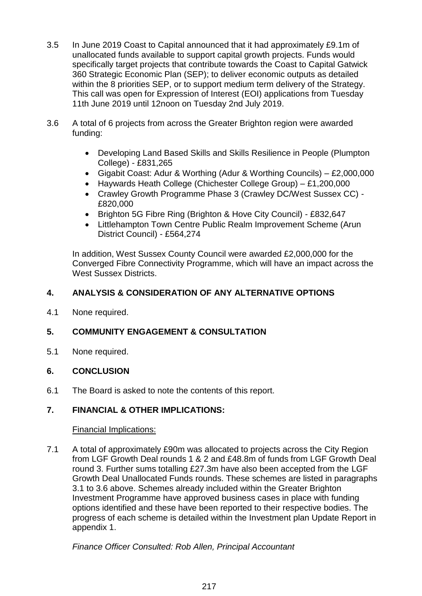- 3.5 In June 2019 Coast to Capital announced that it had approximately £9.1m of unallocated funds available to support capital growth projects. Funds would specifically target projects that contribute towards the Coast to Capital Gatwick 360 Strategic Economic Plan (SEP); to deliver economic outputs as detailed within the 8 priorities SEP, or to support medium term delivery of the Strategy. This call was open for Expression of Interest (EOI) applications from Tuesday 11th June 2019 until 12noon on Tuesday 2nd July 2019.
- 3.6 A total of 6 projects from across the Greater Brighton region were awarded funding:
	- Developing Land Based Skills and Skills Resilience in People (Plumpton College) - £831,265
	- Gigabit Coast: Adur & Worthing (Adur & Worthing Councils) £2,000,000
	- Haywards Heath College (Chichester College Group) £1,200,000
	- Crawley Growth Programme Phase 3 (Crawley DC/West Sussex CC) £820,000
	- Brighton 5G Fibre Ring (Brighton & Hove City Council) £832,647
	- Littlehampton Town Centre Public Realm Improvement Scheme (Arun District Council) - £564,274

In addition, West Sussex County Council were awarded £2,000,000 for the Converged Fibre Connectivity Programme, which will have an impact across the West Sussex Districts.

# **4. ANALYSIS & CONSIDERATION OF ANY ALTERNATIVE OPTIONS**

4.1 None required.

# **5. COMMUNITY ENGAGEMENT & CONSULTATION**

5.1 None required.

# **6. CONCLUSION**

6.1 The Board is asked to note the contents of this report.

# **7. FINANCIAL & OTHER IMPLICATIONS:**

### Financial Implications:

7.1 A total of approximately £90m was allocated to projects across the City Region from LGF Growth Deal rounds 1 & 2 and £48.8m of funds from LGF Growth Deal round 3. Further sums totalling £27.3m have also been accepted from the LGF Growth Deal Unallocated Funds rounds. These schemes are listed in paragraphs 3.1 to 3.6 above. Schemes already included within the Greater Brighton Investment Programme have approved business cases in place with funding options identified and these have been reported to their respective bodies. The progress of each scheme is detailed within the Investment plan Update Report in appendix 1.

*Finance Officer Consulted: Rob Allen, Principal Accountant*